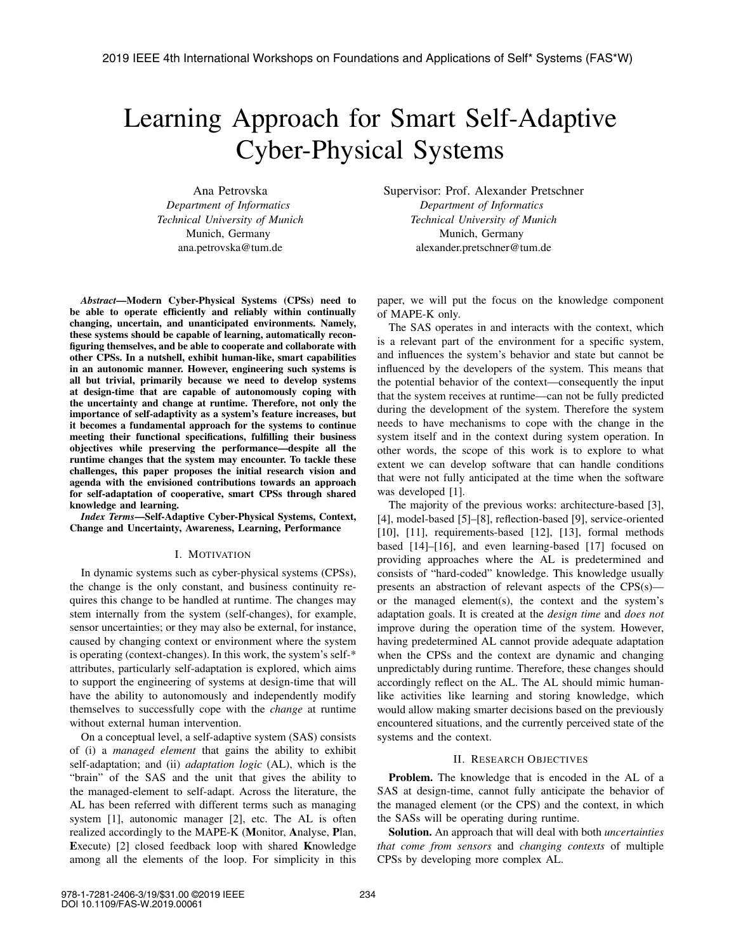# Learning Approach for Smart Self-Adaptive Cyber-Physical Systems

Ana Petrovska *Department of Informatics Technical University of Munich* Munich, Germany ana.petrovska@tum.de

*Abstract*—Modern Cyber-Physical Systems (CPSs) need to be able to operate efficiently and reliably within continually changing, uncertain, and unanticipated environments. Namely, these systems should be capable of learning, automatically reconfiguring themselves, and be able to cooperate and collaborate with other CPSs. In a nutshell, exhibit human-like, smart capabilities in an autonomic manner. However, engineering such systems is all but trivial, primarily because we need to develop systems at design-time that are capable of autonomously coping with the uncertainty and change at runtime. Therefore, not only the importance of self-adaptivity as a system's feature increases, but it becomes a fundamental approach for the systems to continue meeting their functional specifications, fulfilling their business objectives while preserving the performance—despite all the runtime changes that the system may encounter. To tackle these challenges, this paper proposes the initial research vision and agenda with the envisioned contributions towards an approach for self-adaptation of cooperative, smart CPSs through shared knowledge and learning.

*Index Terms*—Self-Adaptive Cyber-Physical Systems, Context, Change and Uncertainty, Awareness, Learning, Performance

## I. MOTIVATION

In dynamic systems such as cyber-physical systems (CPSs), the change is the only constant, and business continuity requires this change to be handled at runtime. The changes may stem internally from the system (self-changes), for example, sensor uncertainties; or they may also be external, for instance, caused by changing context or environment where the system is operating (context-changes). In this work, the system's self-\* attributes, particularly self-adaptation is explored, which aims to support the engineering of systems at design-time that will have the ability to autonomously and independently modify themselves to successfully cope with the *change* at runtime without external human intervention.

On a conceptual level, a self-adaptive system (SAS) consists of (i) a *managed element* that gains the ability to exhibit self-adaptation; and (ii) *adaptation logic* (AL), which is the "brain" of the SAS and the unit that gives the ability to the managed-element to self-adapt. Across the literature, the AL has been referred with different terms such as managing system [1], autonomic manager [2], etc. The AL is often realized accordingly to the MAPE-K (Monitor, Analyse, Plan, Execute) [2] closed feedback loop with shared Knowledge among all the elements of the loop. For simplicity in this Supervisor: Prof. Alexander Pretschner *Department of Informatics Technical University of Munich* Munich, Germany alexander.pretschner@tum.de

paper, we will put the focus on the knowledge component of MAPE-K only.

The SAS operates in and interacts with the context, which is a relevant part of the environment for a specific system, and influences the system's behavior and state but cannot be influenced by the developers of the system. This means that the potential behavior of the context—consequently the input that the system receives at runtime—can not be fully predicted during the development of the system. Therefore the system needs to have mechanisms to cope with the change in the system itself and in the context during system operation. In other words, the scope of this work is to explore to what extent we can develop software that can handle conditions that were not fully anticipated at the time when the software was developed [1].

The majority of the previous works: architecture-based [3], [4], model-based [5]–[8], reflection-based [9], service-oriented [10], [11], requirements-based [12], [13], formal methods based [14]–[16], and even learning-based [17] focused on providing approaches where the AL is predetermined and consists of "hard-coded" knowledge. This knowledge usually presents an abstraction of relevant aspects of the CPS(s) or the managed element(s), the context and the system's adaptation goals. It is created at the *design time* and *does not* improve during the operation time of the system. However, having predetermined AL cannot provide adequate adaptation when the CPSs and the context are dynamic and changing unpredictably during runtime. Therefore, these changes should accordingly reflect on the AL. The AL should mimic humanlike activities like learning and storing knowledge, which would allow making smarter decisions based on the previously encountered situations, and the currently perceived state of the systems and the context.

#### II. RESEARCH OBJECTIVES

Problem. The knowledge that is encoded in the AL of a SAS at design-time, cannot fully anticipate the behavior of the managed element (or the CPS) and the context, in which the SASs will be operating during runtime.

Solution. An approach that will deal with both *uncertainties that come from sensors* and *changing contexts* of multiple CPSs by developing more complex AL.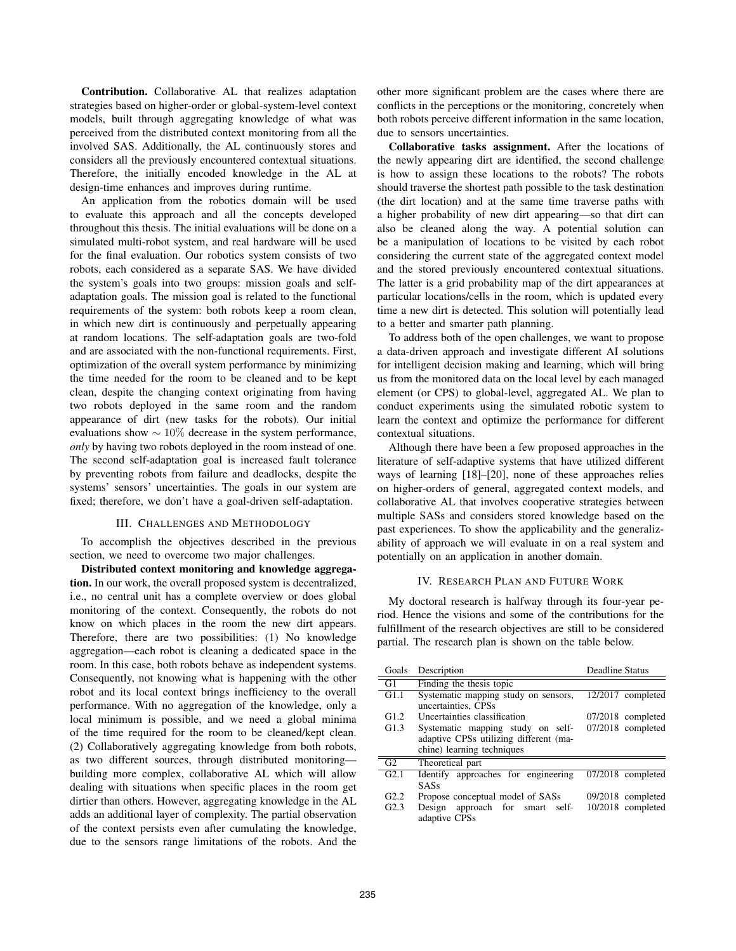Contribution. Collaborative AL that realizes adaptation strategies based on higher-order or global-system-level context models, built through aggregating knowledge of what was perceived from the distributed context monitoring from all the involved SAS. Additionally, the AL continuously stores and considers all the previously encountered contextual situations. Therefore, the initially encoded knowledge in the AL at design-time enhances and improves during runtime.

An application from the robotics domain will be used to evaluate this approach and all the concepts developed throughout this thesis. The initial evaluations will be done on a simulated multi-robot system, and real hardware will be used for the final evaluation. Our robotics system consists of two robots, each considered as a separate SAS. We have divided the system's goals into two groups: mission goals and selfadaptation goals. The mission goal is related to the functional requirements of the system: both robots keep a room clean, in which new dirt is continuously and perpetually appearing at random locations. The self-adaptation goals are two-fold and are associated with the non-functional requirements. First, optimization of the overall system performance by minimizing the time needed for the room to be cleaned and to be kept clean, despite the changing context originating from having two robots deployed in the same room and the random appearance of dirt (new tasks for the robots). Our initial evaluations show  $\sim 10\%$  decrease in the system performance, *only* by having two robots deployed in the room instead of one. The second self-adaptation goal is increased fault tolerance by preventing robots from failure and deadlocks, despite the systems' sensors' uncertainties. The goals in our system are fixed; therefore, we don't have a goal-driven self-adaptation.

## III. CHALLENGES AND METHODOLOGY

To accomplish the objectives described in the previous section, we need to overcome two major challenges.

Distributed context monitoring and knowledge aggregation. In our work, the overall proposed system is decentralized, i.e., no central unit has a complete overview or does global monitoring of the context. Consequently, the robots do not know on which places in the room the new dirt appears. Therefore, there are two possibilities: (1) No knowledge aggregation—each robot is cleaning a dedicated space in the room. In this case, both robots behave as independent systems. Consequently, not knowing what is happening with the other robot and its local context brings inefficiency to the overall performance. With no aggregation of the knowledge, only a local minimum is possible, and we need a global minima of the time required for the room to be cleaned/kept clean. (2) Collaboratively aggregating knowledge from both robots, as two different sources, through distributed monitoring building more complex, collaborative AL which will allow dealing with situations when specific places in the room get dirtier than others. However, aggregating knowledge in the AL adds an additional layer of complexity. The partial observation of the context persists even after cumulating the knowledge, due to the sensors range limitations of the robots. And the other more significant problem are the cases where there are conflicts in the perceptions or the monitoring, concretely when both robots perceive different information in the same location, due to sensors uncertainties.

Collaborative tasks assignment. After the locations of the newly appearing dirt are identified, the second challenge is how to assign these locations to the robots? The robots should traverse the shortest path possible to the task destination (the dirt location) and at the same time traverse paths with a higher probability of new dirt appearing—so that dirt can also be cleaned along the way. A potential solution can be a manipulation of locations to be visited by each robot considering the current state of the aggregated context model and the stored previously encountered contextual situations. The latter is a grid probability map of the dirt appearances at particular locations/cells in the room, which is updated every time a new dirt is detected. This solution will potentially lead to a better and smarter path planning.

To address both of the open challenges, we want to propose a data-driven approach and investigate different AI solutions for intelligent decision making and learning, which will bring us from the monitored data on the local level by each managed element (or CPS) to global-level, aggregated AL. We plan to conduct experiments using the simulated robotic system to learn the context and optimize the performance for different contextual situations.

Although there have been a few proposed approaches in the literature of self-adaptive systems that have utilized different ways of learning [18]–[20], none of these approaches relies on higher-orders of general, aggregated context models, and collaborative AL that involves cooperative strategies between multiple SASs and considers stored knowledge based on the past experiences. To show the applicability and the generalizability of approach we will evaluate in on a real system and potentially on an application in another domain.

### IV. RESEARCH PLAN AND FUTURE WORK

My doctoral research is halfway through its four-year period. Hence the visions and some of the contributions for the fulfillment of the research objectives are still to be considered partial. The research plan is shown on the table below.

| Goals             | Description                                                 | Deadline Status     |
|-------------------|-------------------------------------------------------------|---------------------|
| G1                | Finding the thesis topic                                    |                     |
| G1.1              | Systematic mapping study on sensors,<br>uncertainties, CPSs | 12/2017 completed   |
| G1.2              | Uncertainties classification                                | 07/2018 completed   |
| G1.3              | Systematic mapping study on self-                           | 07/2018 completed   |
|                   | adaptive CPSs utilizing different (ma-                      |                     |
|                   | chine) learning techniques                                  |                     |
| G2                | Theoretical part                                            |                     |
| $\overline{G2.1}$ | Identify approaches for engineering                         | $07/2018$ completed |
|                   | <b>SASs</b>                                                 |                     |
| G2.2              | Propose conceptual model of SASs                            | 09/2018 completed   |
| G2.3              | Design approach for smart self-<br>adaptive CPSs            | 10/2018 completed   |